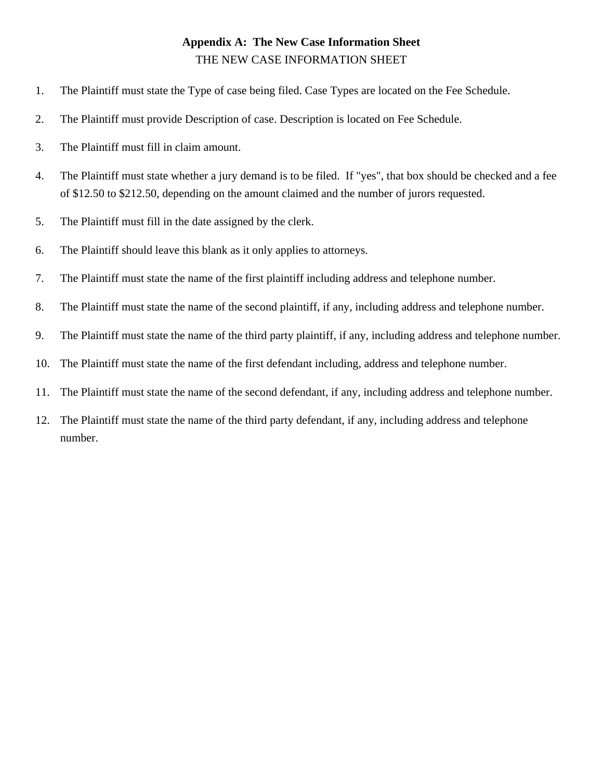## **Appendix A: The New Case Information Sheet** THE NEW CASE INFORMATION SHEET

- 1. The Plaintiff must state the Type of case being filed. Case Types are located on the Fee Schedule.
- 2. The Plaintiff must provide Description of case. Description is located on Fee Schedule.
- 3. The Plaintiff must fill in claim amount.
- 4. The Plaintiff must state whether a jury demand is to be filed. If "yes", that box should be checked and a fee of \$12.50 to \$212.50, depending on the amount claimed and the number of jurors requested.
- 5. The Plaintiff must fill in the date assigned by the clerk.
- 6. The Plaintiff should leave this blank as it only applies to attorneys.
- 7. The Plaintiff must state the name of the first plaintiff including address and telephone number.
- 8. The Plaintiff must state the name of the second plaintiff, if any, including address and telephone number.
- 9. The Plaintiff must state the name of the third party plaintiff, if any, including address and telephone number.
- 10. The Plaintiff must state the name of the first defendant including, address and telephone number.
- 11. The Plaintiff must state the name of the second defendant, if any, including address and telephone number.
- 12. The Plaintiff must state the name of the third party defendant, if any, including address and telephone number.